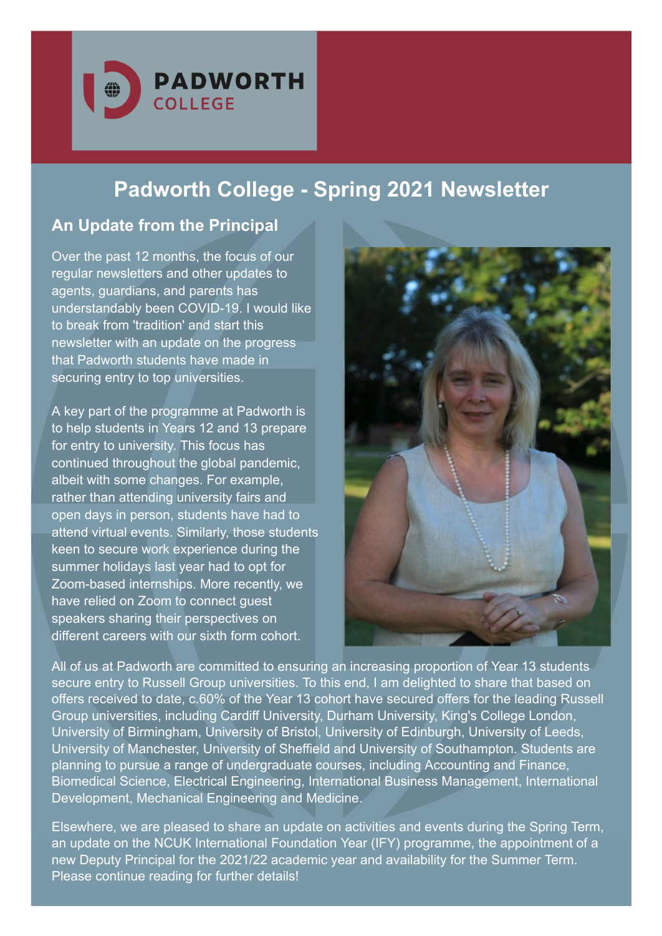

# **Padworth College - Spring 2021 Newsletter**

# **An Update from the Principal**

Over the past 12 months, the focus of our regular newsletters and other updates to agents, guardians, and parents has understandably been COVID-19. I would like to break from 'tradition' and start this newsletter with an update on the progress that Padworth students have made in securing entry to top universities.

A key part of the programme at Padworth is to help students in Years 12 and 13 prepare for entry to university. This focus has continued throughout the global pandemic, albeit with some changes. For example, rather than attending university fairs and open days in person, students have had to attend virtual events. Similarly, those students keen to secure work experience during the summer holidays last year had to opt for Zoom-based internships. More recently, we have relied on Zoom to connect guest speakers sharing their perspectives on different careers with our sixth form cohort.



All of us at Padworth are committed to ensuring an increasing proportion of Year 13 students secure entry to Russell Group universities. To this end, I am delighted to share that based on offers received to date, c.60% of the Year 13 cohort have secured offers for the leading Russell Group universities, including Cardiff University, Durham University, King's College London, University of Birmingham, University of Bristol, University of Edinburgh, University of Leeds, University of Manchester, University of Sheffield and University of Southampton. Students are planning to pursue a range of undergraduate courses, including Accounting and Finance, Biomedical Science, Electrical Engineering, International Business Management, International Development, Mechanical Engineering and Medicine.

Elsewhere, we are pleased to share an update on activities and events during the Spring Term, an update on the NCUK International Foundation Year (IFY) programme, the appointment of a new Deputy Principal for the 2021/22 academic year and availability for the Summer Term. Please continue reading for further details!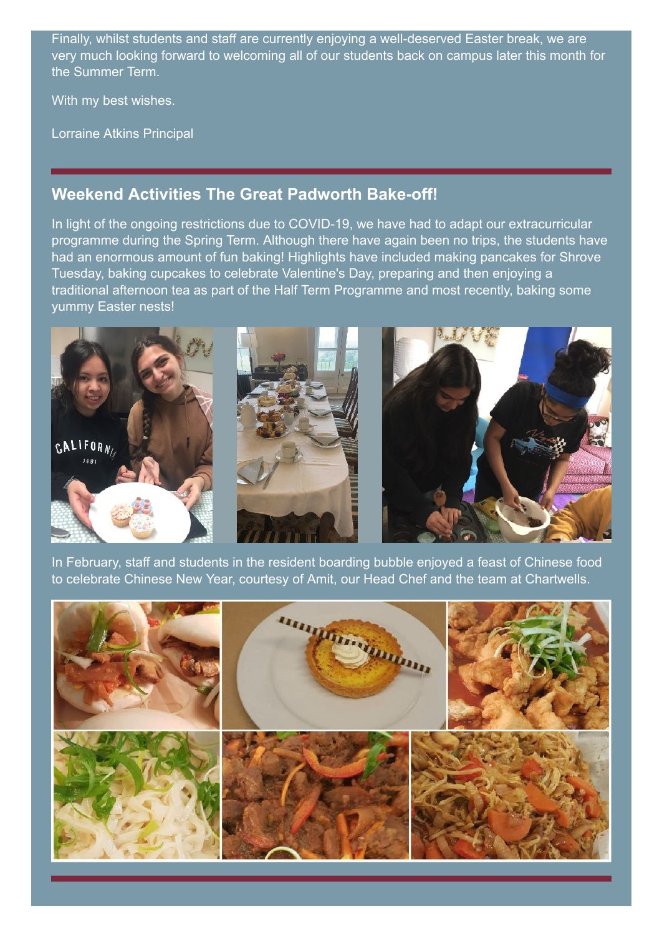Finally, whilst students and staff are currently enjoying a well-deserved Easter break, we are very much looking forward to welcoming all of our students back on campus later this month for the Summer Term.

With my best wishes.

Lorraine Atkins Principal

#### **Weekend Activities The Great Padworth Bake-off!**

In light of the ongoing restrictions due to COVID-19, we have had to adapt our extracurricular programme during the Spring Term. Although there have again been no trips, the students have had an enormous amount of fun baking! Highlights have included making pancakes for Shrove Tuesday, baking cupcakes to celebrate Valentine's Day, preparing and then enjoying a traditional afternoon tea as part of the Half Term Programme and most recently, baking some yummy Easter nests!



In February, staff and students in the resident boarding bubble enjoyed a feast of Chinese food to celebrate Chinese New Year, courtesy of Amit, our Head Chef and the team at Chartwells.

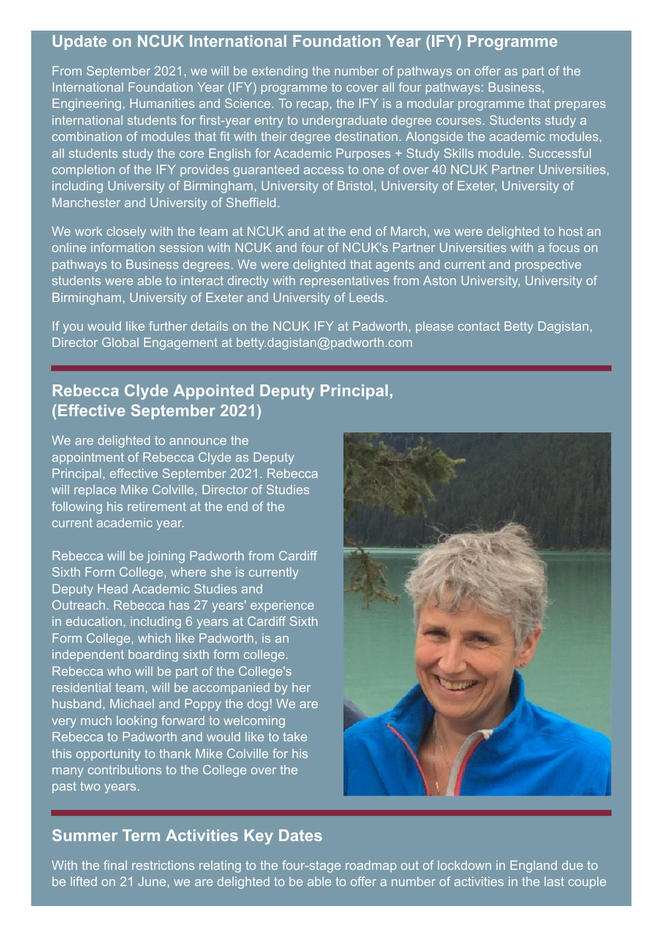### **Update on NCUK International Foundation Year (IFY) Programme**

From September 2021, we will be extending the number of pathways on offer as part of the International Foundation Year (IFY) programme to cover all four pathways: Business, Engineering, Humanities and Science. To recap, the IFY is a modular programme that prepares international students for first-year entry to undergraduate degree courses. Students study a combination of modules that fit with their degree destination. Alongside the academic modules, all students study the core English for Academic Purposes + Study Skills module. Successful completion of the IFY provides guaranteed access to one of over 40 NCUK Partner Universities, including University of Birmingham, University of Bristol, University of Exeter, University of Manchester and University of Sheffield.

We work closely with the team at NCUK and at the end of March, we were delighted to host an online information session with NCUK and four of NCUK's Partner Universities with a focus on pathways to Business degrees. We were delighted that agents and current and prospective students were able to interact directly with representatives from Aston University, University of Birmingham, University of Exeter and University of Leeds.

If you would like further details on the NCUK IFY at Padworth, please contact Betty Dagistan, Director Global Engagement at [betty.dagistan@padworth.com](mailto:betty.dagistan@padworth.com)

# **Rebecca Clyde Appointed Deputy Principal, (Effective September 2021)**

We are delighted to announce the appointment of Rebecca Clyde as Deputy Principal, effective September 2021. Rebecca will replace Mike Colville, Director of Studies following his retirement at the end of the current academic year.

Rebecca will be joining Padworth from Cardiff Sixth Form College, where she is currently Deputy Head Academic Studies and Outreach. Rebecca has 27 years' experience in education, including 6 years at Cardiff Sixth Form College, which like Padworth, is an independent boarding sixth form college. Rebecca who will be part of the College's residential team, will be accompanied by her husband, Michael and Poppy the dog! We are very much looking forward to welcoming Rebecca to Padworth and would like to take this opportunity to thank Mike Colville for his many contributions to the College over the past two years.



## **Summer Term Activities Key Dates**

With the final restrictions relating to the four-stage roadmap out of lockdown in England due to be lifted on 21 June, we are delighted to be able to offer a number of activities in the last couple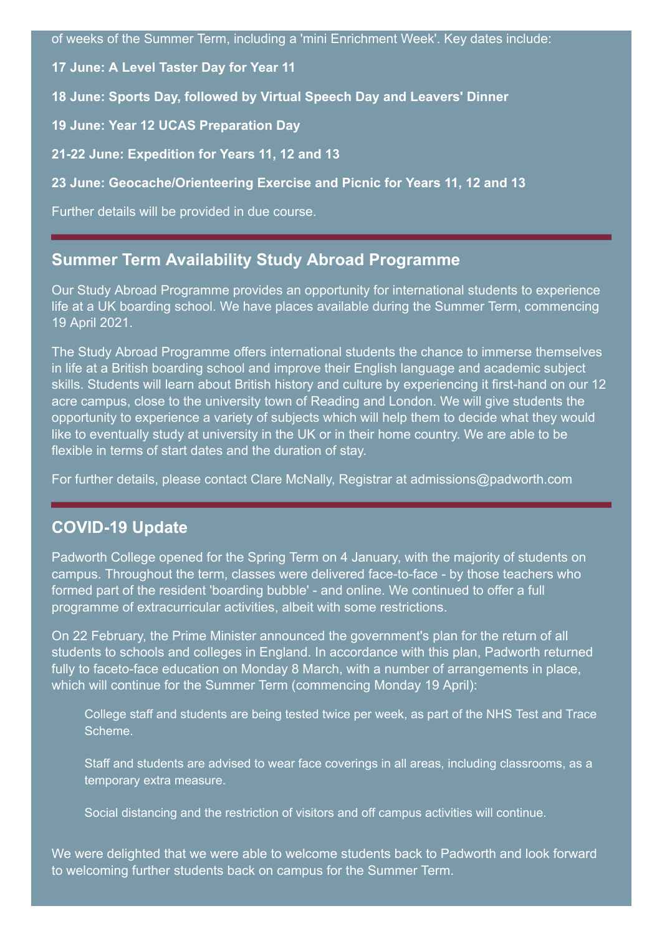of weeks of the Summer Term, including a 'mini Enrichment Week'. Key dates include:

**17 June: A Level Taster Day for Year 11**

**18 June: Sports Day, followed by Virtual Speech Day and Leavers' Dinner**

**19 June: Year 12 UCAS Preparation Day**

**21-22 June: Expedition for Years 11, 12 and 13**

**23 June: Geocache/Orienteering Exercise and Picnic for Years 11, 12 and 13**

Further details will be provided in due course.

### **Summer Term Availability Study Abroad Programme**

Our Study Abroad Programme provides an opportunity for international students to experience life at a UK boarding school. We have places available during the Summer Term, commencing 19 April 2021.

The Study Abroad Programme offers international students the chance to immerse themselves in life at a British boarding school and improve their English language and academic subject skills. Students will learn about British history and culture by experiencing it first-hand on our 12 acre campus, close to the university town of Reading and London. We will give students the opportunity to experience a variety of subjects which will help them to decide what they would like to eventually study at university in the UK or in their home country. We are able to be flexible in terms of start dates and the duration of stay.

For further details, please contact Clare McNally, Registrar at [admissions@padworth.com](mailto:admissions@padworth.com)

#### **COVID-19 Update**

Padworth College opened for the Spring Term on 4 January, with the majority of students on campus. Throughout the term, classes were delivered face-to-face - by those teachers who formed part of the resident 'boarding bubble' - and online. We continued to offer a full programme of extracurricular activities, albeit with some restrictions.

On 22 February, the Prime Minister announced the government's plan for the return of all students to schools and colleges in England. In accordance with this plan, Padworth returned fully to faceto-face education on Monday 8 March, with a number of arrangements in place, which will continue for the Summer Term (commencing Monday 19 April):

College staff and students are being tested twice per week, as part of the NHS Test and Trace Scheme.

Staff and students are advised to wear face coverings in all areas, including classrooms, as a temporary extra measure.

Social distancing and the restriction of visitors and off campus activities will continue.

We were delighted that we were able to welcome students back to Padworth and look forward to welcoming further students back on campus for the Summer Term.